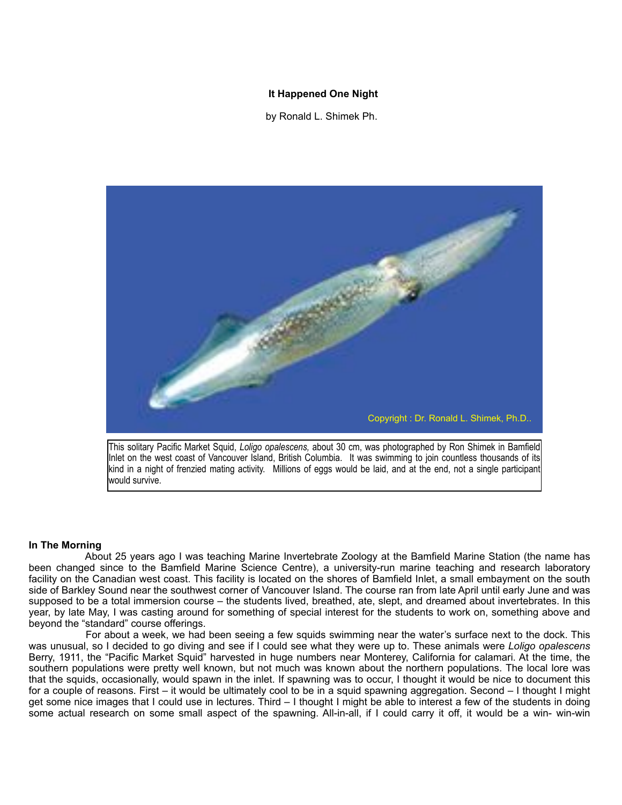## **It Happened One Night**

by Ronald L. Shimek Ph.



This solitary Pacific Market Squid, *Loligo opalescens,* about 30 cm, was photographed by Ron Shimek in Bamfield Inlet on the west coast of Vancouver Island, British Columbia. It was swimming to join countless thousands of its kind in a night of frenzied mating activity. Millions of eggs would be laid, and at the end, not a single participant would survive.

## **In The Morning**

 About 25 years ago I was teaching Marine Invertebrate Zoology at the Bamfield Marine Station (the name has been changed since to the Bamfield Marine Science Centre), a university-run marine teaching and research laboratory facility on the Canadian west coast. This facility is located on the shores of Bamfield Inlet, a small embayment on the south side of Barkley Sound near the southwest corner of Vancouver Island. The course ran from late April until early June and was supposed to be a total immersion course – the students lived, breathed, ate, slept, and dreamed about invertebrates. In this year, by late May, I was casting around for something of special interest for the students to work on, something above and beyond the "standard" course offerings.

 For about a week, we had been seeing a few squids swimming near the water's surface next to the dock. This was unusual, so I decided to go diving and see if I could see what they were up to. These animals were *Loligo opalescens*  Berry, 1911, the "Pacific Market Squid" harvested in huge numbers near Monterey, California for calamari. At the time, the southern populations were pretty well known, but not much was known about the northern populations. The local lore was that the squids, occasionally, would spawn in the inlet. If spawning was to occur, I thought it would be nice to document this for a couple of reasons. First – it would be ultimately cool to be in a squid spawning aggregation. Second – I thought I might get some nice images that I could use in lectures. Third – I thought I might be able to interest a few of the students in doing some actual research on some small aspect of the spawning. All-in-all, if I could carry it off, it would be a win- win-win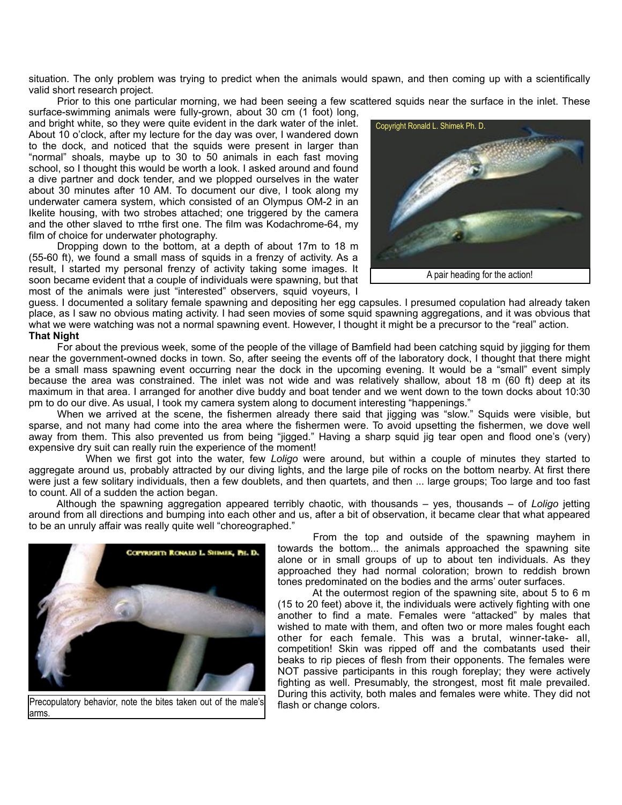situation. The only problem was trying to predict when the animals would spawn, and then coming up with a scientifically valid short research project.

 Prior to this one particular morning, we had been seeing a few scattered squids near the surface in the inlet. These surface-swimming animals were fully-grown, about 30 cm (1 foot) long,

and bright white, so they were quite evident in the dark water of the inlet. About 10 o'clock, after my lecture for the day was over, I wandered down to the dock, and noticed that the squids were present in larger than "normal" shoals, maybe up to 30 to 50 animals in each fast moving school, so I thought this would be worth a look. I asked around and found a dive partner and dock tender, and we plopped ourselves in the water about 30 minutes after 10 AM. To document our dive, I took along my underwater camera system, which consisted of an Olympus OM-2 in an Ikelite housing, with two strobes attached; one triggered by the camera and the other slaved to πthe first one. The film was Kodachrome-64, my film of choice for underwater photography.

 Dropping down to the bottom, at a depth of about 17m to 18 m (55-60 ft), we found a small mass of squids in a frenzy of activity. As a result, I started my personal frenzy of activity taking some images. It soon became evident that a couple of individuals were spawning, but that most of the animals were just "interested" observers, squid voyeurs, I



guess. I documented a solitary female spawning and depositing her egg capsules. I presumed copulation had already taken place, as I saw no obvious mating activity. I had seen movies of some squid spawning aggregations, and it was obvious that what we were watching was not a normal spawning event. However, I thought it might be a precursor to the "real" action. **That Night**

 For about the previous week, some of the people of the village of Bamfield had been catching squid by jigging for them near the government-owned docks in town. So, after seeing the events off of the laboratory dock, I thought that there might be a small mass spawning event occurring near the dock in the upcoming evening. It would be a "small" event simply because the area was constrained. The inlet was not wide and was relatively shallow, about 18 m (60 ft) deep at its maximum in that area. I arranged for another dive buddy and boat tender and we went down to the town docks about 10:30 pm to do our dive. As usual, I took my camera system along to document interesting "happenings."

When we arrived at the scene, the fishermen already there said that jigging was "slow." Squids were visible, but sparse, and not many had come into the area where the fishermen were. To avoid upsetting the fishermen, we dove well away from them. This also prevented us from being "jigged." Having a sharp squid jig tear open and flood one's (very) expensive dry suit can really ruin the experience of the moment!

 When we first got into the water, few *Loligo* were around, but within a couple of minutes they started to aggregate around us, probably attracted by our diving lights, and the large pile of rocks on the bottom nearby. At first there were just a few solitary individuals, then a few doublets, and then quartets, and then ... large groups; Too large and too fast to count. All of a sudden the action began.

 Although the spawning aggregation appeared terribly chaotic, with thousands – yes, thousands – of *Loligo* jetting around from all directions and bumping into each other and us, after a bit of observation, it became clear that what appeared to be an unruly affair was really quite well "choreographed."



Precopulatory behavior, note the bites taken out of the male's arms.

 From the top and outside of the spawning mayhem in towards the bottom... the animals approached the spawning site alone or in small groups of up to about ten individuals. As they approached they had normal coloration; brown to reddish brown tones predominated on the bodies and the arms' outer surfaces.

 At the outermost region of the spawning site, about 5 to 6 m (15 to 20 feet) above it, the individuals were actively fighting with one another to find a mate. Females were "attacked" by males that wished to mate with them, and often two or more males fought each other for each female. This was a brutal, winner-take- all, competition! Skin was ripped off and the combatants used their beaks to rip pieces of flesh from their opponents. The females were NOT passive participants in this rough foreplay; they were actively fighting as well. Presumably, the strongest, most fit male prevailed. During this activity, both males and females were white. They did not flash or change colors.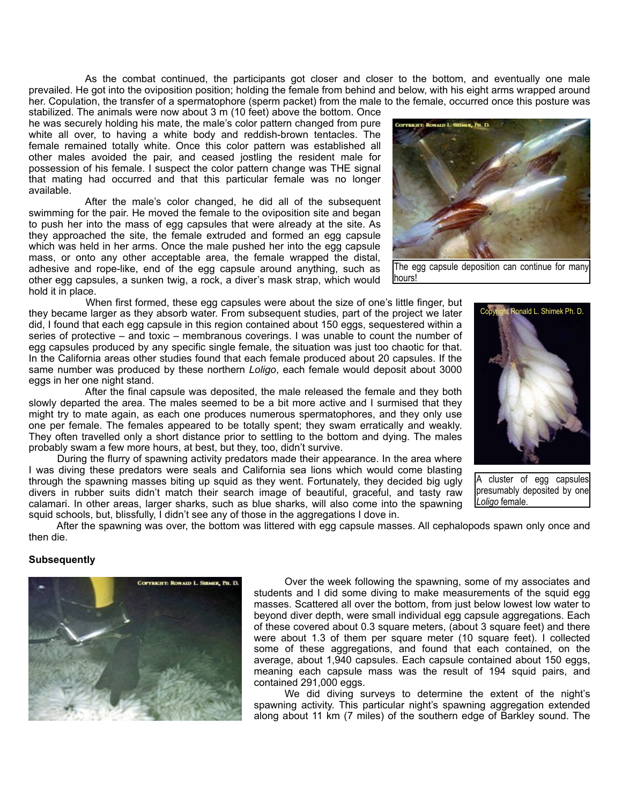As the combat continued, the participants got closer and closer to the bottom, and eventually one male prevailed. He got into the oviposition position; holding the female from behind and below, with his eight arms wrapped around her. Copulation, the transfer of a spermatophore (sperm packet) from the male to the female, occurred once this posture was

stabilized. The animals were now about 3 m (10 feet) above the bottom. Once he was securely holding his mate, the male's color pattern changed from pure white all over, to having a white body and reddish-brown tentacles. The female remained totally white. Once this color pattern was established all other males avoided the pair, and ceased jostling the resident male for possession of his female. I suspect the color pattern change was THE signal that mating had occurred and that this particular female was no longer available.

 After the male's color changed, he did all of the subsequent swimming for the pair. He moved the female to the oviposition site and began to push her into the mass of egg capsules that were already at the site. As they approached the site, the female extruded and formed an egg capsule which was held in her arms. Once the male pushed her into the egg capsule mass, or onto any other acceptable area, the female wrapped the distal, adhesive and rope-like, end of the egg capsule around anything, such as other egg capsules, a sunken twig, a rock, a diver's mask strap, which would hold it in place.

 When first formed, these egg capsules were about the size of one's little finger, but they became larger as they absorb water. From subsequent studies, part of the project we later did, I found that each egg capsule in this region contained about 150 eggs, sequestered within a series of protective – and toxic – membranous coverings. I was unable to count the number of egg capsules produced by any specific single female, the situation was just too chaotic for that. In the California areas other studies found that each female produced about 20 capsules. If the same number was produced by these northern *Loligo*, each female would deposit about 3000 eggs in her one night stand.

 After the final capsule was deposited, the male released the female and they both slowly departed the area. The males seemed to be a bit more active and I surmised that they might try to mate again, as each one produces numerous spermatophores, and they only use one per female. The females appeared to be totally spent; they swam erratically and weakly. They often travelled only a short distance prior to settling to the bottom and dying. The males probably swam a few more hours, at best, but they, too, didn't survive.

 During the flurry of spawning activity predators made their appearance. In the area where I was diving these predators were seals and California sea lions which would come blasting through the spawning masses biting up squid as they went. Fortunately, they decided big ugly divers in rubber suits didn't match their search image of beautiful, graceful, and tasty raw calamari. In other areas, larger sharks, such as blue sharks, will also come into the spawning squid schools, but, blissfully, I didn't see any of those in the aggregations I dove in.

 $AE$ , Pit. D.

**TOPYRKIET: ROMALD L. SI** 

The egg capsule deposition can continue for many hours!

> cluster of egg capsules presumably deposited by one *Loligo* female.

 After the spawning was over, the bottom was littered with egg capsule masses. All cephalopods spawn only once and then die.

## **Subsequently**



 Over the week following the spawning, some of my associates and students and I did some diving to make measurements of the squid egg masses. Scattered all over the bottom, from just below lowest low water to beyond diver depth, were small individual egg capsule aggregations. Each of these covered about 0.3 square meters, (about 3 square feet) and there were about 1.3 of them per square meter (10 square feet). I collected some of these aggregations, and found that each contained, on the average, about 1,940 capsules. Each capsule contained about 150 eggs, meaning each capsule mass was the result of 194 squid pairs, and contained 291,000 eggs.

 We did diving surveys to determine the extent of the night's spawning activity. This particular night's spawning aggregation extended along about 11 km (7 miles) of the southern edge of Barkley sound. The